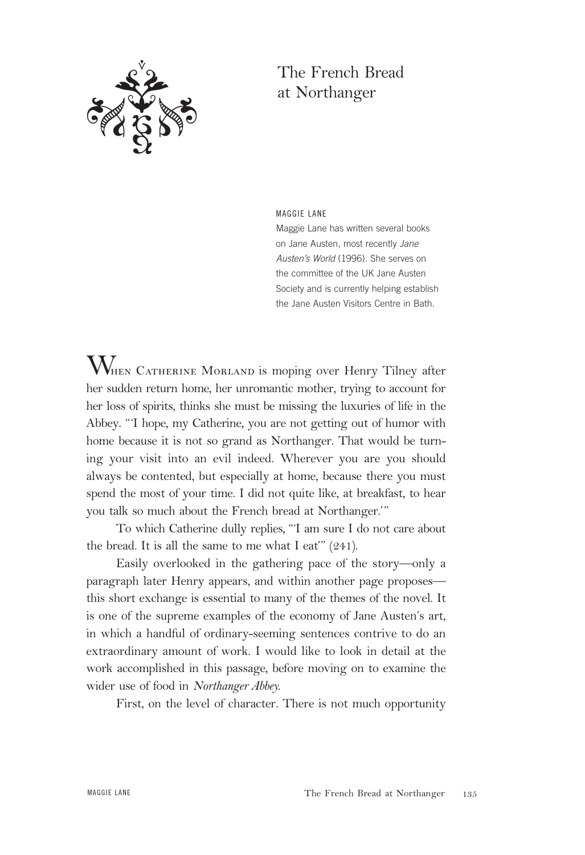

## The French Bread at Northanger

MAGGIE LANE

Maggie Lane has written several books on Jane Austen, most recently Jane Austen's World (1996). She serves on the committee of the UK Jane Austen Society and is currently helping establish the Jane Austen Visitors Centre in Bath.

 $\rm{W}_{\rm{HERN}}$  Catherine Morland is moping over Henry Tilney after her sudden return home, her unromantic mother, trying to account for her loss of spirits, thinks she must be missing the luxuries of life in the Abbey. "'I hope, my Catherine, you are not getting out of humor with home because it is not so grand as Northanger. That would be turning your visit into an evil indeed. Wherever you are you should always be contented, but especially at home, because there you must spend the most of your time. I did not quite like, at breakfast, to hear you talk so much about the French bread at Northanger.'"

To which Catherine dully replies, "'I am sure I do not care about the bread. It is all the same to me what I eat"  $(241)$ .

Easily overlooked in the gathering pace of the story—only a paragraph later Henry appears, and within another page proposes this short exchange is essential to many of the themes of the novel. It is one of the supreme examples of the economy of Jane Austen's art, in which a handful of ordinary-seeming sentences contrive to do an extraordinary amount of work. I would like to look in detail at the work accomplished in this passage, before moving on to examine the wider use of food in *Northanger Abbey.* 

First, on the level of character. There is not much opportunity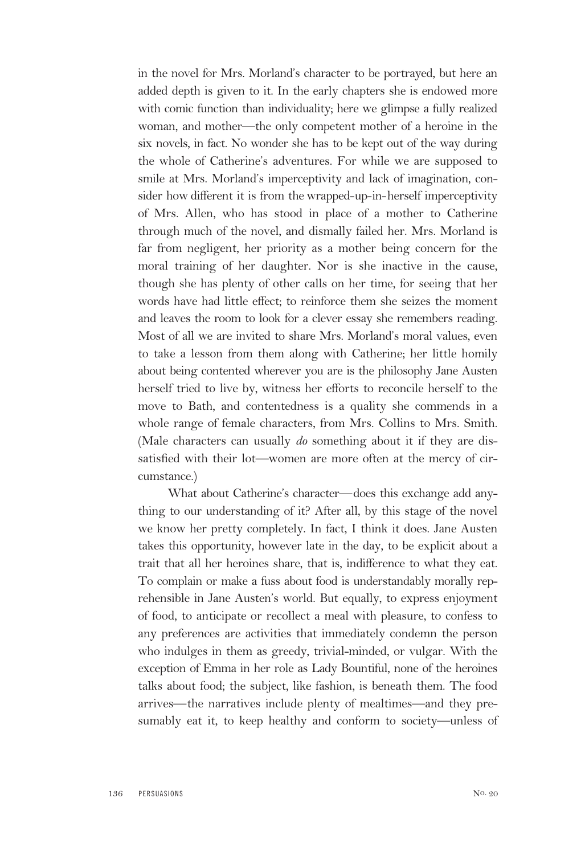in the novel for Mrs. Morland's character to be portrayed, but here an added depth is given to it. In the early chapters she is endowed more with comic function than individuality; here we glimpse a fully realized woman, and mother—the only competent mother of a heroine in the six novels, in fact. No wonder she has to be kept out of the way during the whole of Catherine's adventures. For while we are supposed to smile at Mrs. Morland's imperceptivity and lack of imagination, consider how different it is from the wrapped-up-in-herself imperceptivity of Mrs. Allen, who has stood in place of a mother to Catherine through much of the novel, and dismally failed her. Mrs. Morland is far from negligent, her priority as a mother being concern for the moral training of her daughter. Nor is she inactive in the cause, though she has plenty of other calls on her time, for seeing that her words have had little effect; to reinforce them she seizes the moment and leaves the room to look for a clever essay she remembers reading. Most of all we are invited to share Mrs. Morland's moral values, even to take a lesson from them along with Catherine; her little homily about being contented wherever you are is the philosophy Jane Austen herself tried to live by, witness her efforts to reconcile herself to the move to Bath, and contentedness is a quality she commends in a whole range of female characters, from Mrs. Collins to Mrs. Smith. (Male characters can usually *do* something about it if they are dissatisfied with their lot—women are more often at the mercy of circumstance.)

What about Catherine's character—does this exchange add anything to our understanding of it? After all, by this stage of the novel we know her pretty completely. In fact, I think it does. Jane Austen takes this opportunity, however late in the day, to be explicit about a trait that all her heroines share, that is, indifference to what they eat. To complain or make a fuss about food is understandably morally reprehensible in Jane Austen's world. But equally, to express enjoyment of food, to anticipate or recollect a meal with pleasure, to confess to any preferences are activities that immediately condemn the person who indulges in them as greedy, trivial-minded, or vulgar. With the exception of Emma in her role as Lady Bountiful, none of the heroines talks about food; the subject, like fashion, is beneath them. The food arrives—the narratives include plenty of mealtimes—and they presumably eat it, to keep healthy and conform to society—unless of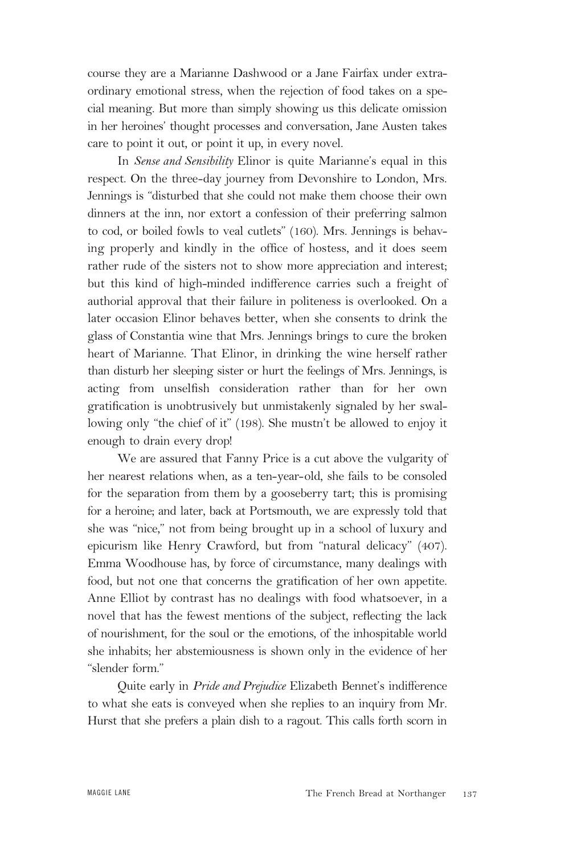course they are a Marianne Dashwood or a Jane Fairfax under extraordinary emotional stress, when the rejection of food takes on a special meaning. But more than simply showing us this delicate omission in her heroines' thought processes and conversation, Jane Austen takes care to point it out, or point it up, in every novel.

In *Sense and Sensibility* Elinor is quite Marianne's equal in this respect. On the three-day journey from Devonshire to London, Mrs. Jennings is "disturbed that she could not make them choose their own dinners at the inn, nor extort a confession of their preferring salmon to cod, or boiled fowls to veal cutlets" (160). Mrs. Jennings is behaving properly and kindly in the office of hostess, and it does seem rather rude of the sisters not to show more appreciation and interest; but this kind of high-minded indifference carries such a freight of authorial approval that their failure in politeness is overlooked. On a later occasion Elinor behaves better, when she consents to drink the glass of Constantia wine that Mrs. Jennings brings to cure the broken heart of Marianne. That Elinor, in drinking the wine herself rather than disturb her sleeping sister or hurt the feelings of Mrs. Jennings, is acting from unselfish consideration rather than for her own gratification is unobtrusively but unmistakenly signaled by her swallowing only "the chief of it" (198). She mustn't be allowed to enjoy it enough to drain every drop!

We are assured that Fanny Price is a cut above the vulgarity of her nearest relations when, as a ten-year-old, she fails to be consoled for the separation from them by a gooseberry tart; this is promising for a heroine; and later, back at Portsmouth, we are expressly told that she was "nice," not from being brought up in a school of luxury and epicurism like Henry Crawford, but from "natural delicacy" (407). Emma Woodhouse has, by force of circumstance, many dealings with food, but not one that concerns the gratification of her own appetite. Anne Elliot by contrast has no dealings with food whatsoever, in a novel that has the fewest mentions of the subject, reflecting the lack of nourishment, for the soul or the emotions, of the inhospitable world she inhabits; her abstemiousness is shown only in the evidence of her "slender form."

Quite early in *Pride and Prejudice* Elizabeth Bennet's indifference to what she eats is conveyed when she replies to an inquiry from Mr. Hurst that she prefers a plain dish to a ragout. This calls forth scorn in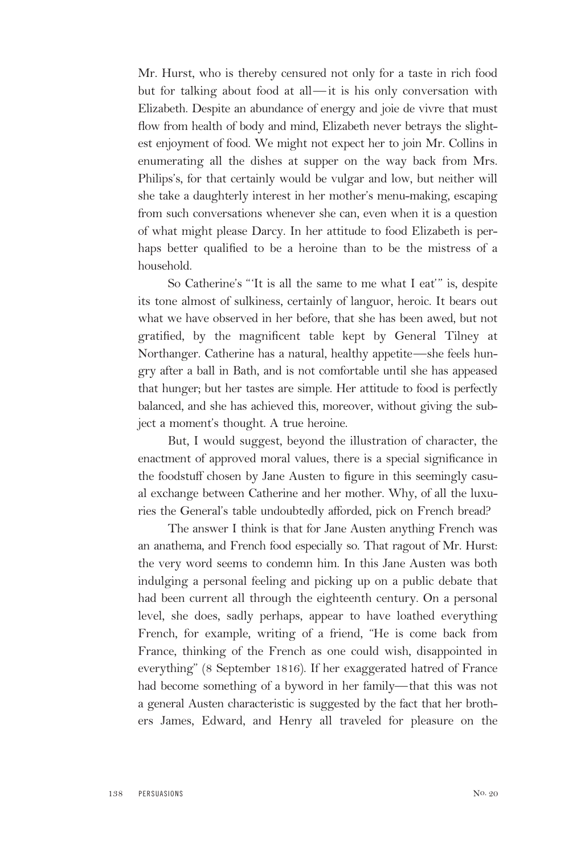Mr. Hurst, who is thereby censured not only for a taste in rich food but for talking about food at all—it is his only conversation with Elizabeth. Despite an abundance of energy and joie de vivre that must flow from health of body and mind, Elizabeth never betrays the slightest enjoyment of food. We might not expect her to join Mr. Collins in enumerating all the dishes at supper on the way back from Mrs. Philips's, for that certainly would be vulgar and low, but neither will she take a daughterly interest in her mother's menu-making, escaping from such conversations whenever she can, even when it is a question of what might please Darcy. In her attitude to food Elizabeth is perhaps better qualified to be a heroine than to be the mistress of a household.

So Catherine's "'It is all the same to me what I eat'" is, despite its tone almost of sulkiness, certainly of languor, heroic. It bears out what we have observed in her before, that she has been awed, but not gratified, by the magnificent table kept by General Tilney at Northanger. Catherine has a natural, healthy appetite—she feels hungry after a ball in Bath, and is not comfortable until she has appeased that hunger; but her tastes are simple. Her attitude to food is perfectly balanced, and she has achieved this, moreover, without giving the subject a moment's thought. A true heroine.

But, I would suggest, beyond the illustration of character, the enactment of approved moral values, there is a special significance in the foodstuff chosen by Jane Austen to figure in this seemingly casual exchange between Catherine and her mother. Why, of all the luxuries the General's table undoubtedly afforded, pick on French bread?

The answer I think is that for Jane Austen anything French was an anathema, and French food especially so. That ragout of Mr. Hurst: the very word seems to condemn him. In this Jane Austen was both indulging a personal feeling and picking up on a public debate that had been current all through the eighteenth century. On a personal level, she does, sadly perhaps, appear to have loathed everything French, for example, writing of a friend, "He is come back from France, thinking of the French as one could wish, disappointed in everything" (8 September 1816). If her exaggerated hatred of France had become something of a byword in her family—that this was not a general Austen characteristic is suggested by the fact that her brothers James, Edward, and Henry all traveled for pleasure on the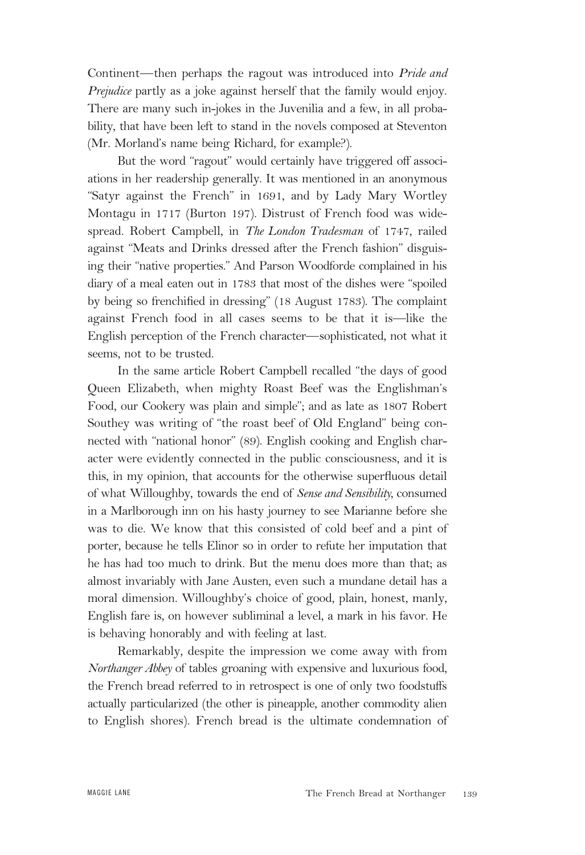Continent—then perhaps the ragout was introduced into *Pride and Prejudice* partly as a joke against herself that the family would enjoy. There are many such in-jokes in the Juvenilia and a few, in all probability, that have been left to stand in the novels composed at Steventon (Mr. Morland's name being Richard, for example?).

But the word "ragout" would certainly have triggered off associations in her readership generally. It was mentioned in an anonymous "Satyr against the French" in 1691, and by Lady Mary Wortley Montagu in 1717 (Burton 197). Distrust of French food was widespread. Robert Campbell, in *The London Tradesman* of 1747, railed against "Meats and Drinks dressed after the French fashion" disguising their "native properties." And Parson Woodforde complained in his diary of a meal eaten out in 1783 that most of the dishes were "spoiled by being so frenchified in dressing" (18 August 1783). The complaint against French food in all cases seems to be that it is—like the English perception of the French character—sophisticated, not what it seems, not to be trusted.

In the same article Robert Campbell recalled "the days of good Queen Elizabeth, when mighty Roast Beef was the Englishman's Food, our Cookery was plain and simple"; and as late as 1807 Robert Southey was writing of "the roast beef of Old England" being connected with "national honor" (89). English cooking and English character were evidently connected in the public consciousness, and it is this, in my opinion, that accounts for the otherwise superfluous detail of what Willoughby, towards the end of *Sense and Sensibility,* consumed in a Marlborough inn on his hasty journey to see Marianne before she was to die. We know that this consisted of cold beef and a pint of porter, because he tells Elinor so in order to refute her imputation that he has had too much to drink. But the menu does more than that; as almost invariably with Jane Austen, even such a mundane detail has a moral dimension. Willoughby's choice of good, plain, honest, manly, English fare is, on however subliminal a level, a mark in his favor. He is behaving honorably and with feeling at last.

Remarkably, despite the impression we come away with from *Northanger Abbey* of tables groaning with expensive and luxurious food, the French bread referred to in retrospect is one of only two foodstuffs actually particularized (the other is pineapple, another commodity alien to English shores). French bread is the ultimate condemnation of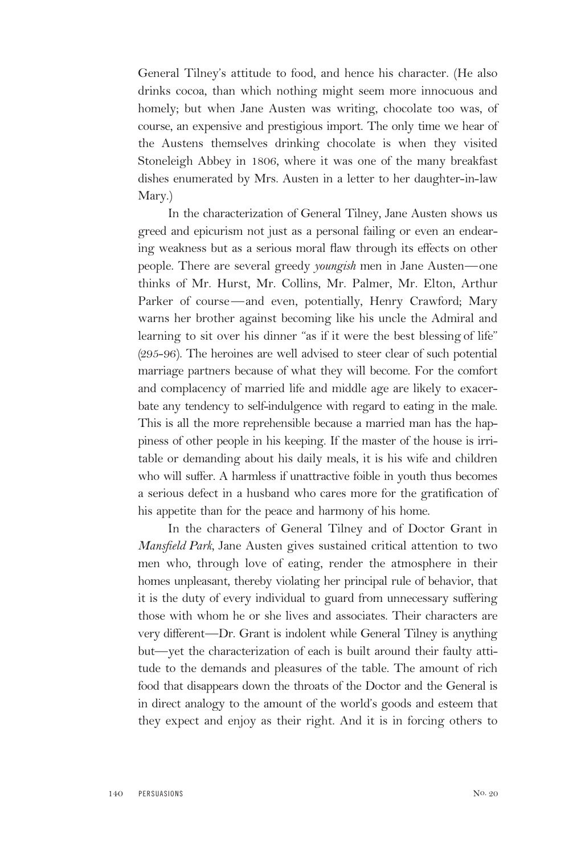General Tilney's attitude to food, and hence his character. (He also drinks cocoa, than which nothing might seem more innocuous and homely; but when Jane Austen was writing, chocolate too was, of course, an expensive and prestigious import. The only time we hear of the Austens themselves drinking chocolate is when they visited Stoneleigh Abbey in 1806, where it was one of the many breakfast dishes enumerated by Mrs. Austen in a letter to her daughter-in-law Mary.)

In the characterization of General Tilney, Jane Austen shows us greed and epicurism not just as a personal failing or even an endearing weakness but as a serious moral flaw through its effects on other people. There are several greedy *youngish* men in Jane Austen—one thinks of Mr. Hurst, Mr. Collins, Mr. Palmer, Mr. Elton, Arthur Parker of course—and even, potentially, Henry Crawford; Mary warns her brother against becoming like his uncle the Admiral and learning to sit over his dinner "as if it were the best blessing of life" (295-96). The heroines are well advised to steer clear of such potential marriage partners because of what they will become. For the comfort and complacency of married life and middle age are likely to exacerbate any tendency to self-indulgence with regard to eating in the male. This is all the more reprehensible because a married man has the happiness of other people in his keeping. If the master of the house is irritable or demanding about his daily meals, it is his wife and children who will suffer. A harmless if unattractive foible in youth thus becomes a serious defect in a husband who cares more for the gratification of his appetite than for the peace and harmony of his home.

In the characters of General Tilney and of Doctor Grant in *Mansfield Park,* Jane Austen gives sustained critical attention to two men who, through love of eating, render the atmosphere in their homes unpleasant, thereby violating her principal rule of behavior, that it is the duty of every individual to guard from unnecessary suffering those with whom he or she lives and associates. Their characters are very different—Dr. Grant is indolent while General Tilney is anything but—yet the characterization of each is built around their faulty attitude to the demands and pleasures of the table. The amount of rich food that disappears down the throats of the Doctor and the General is in direct analogy to the amount of the world's goods and esteem that they expect and enjoy as their right. And it is in forcing others to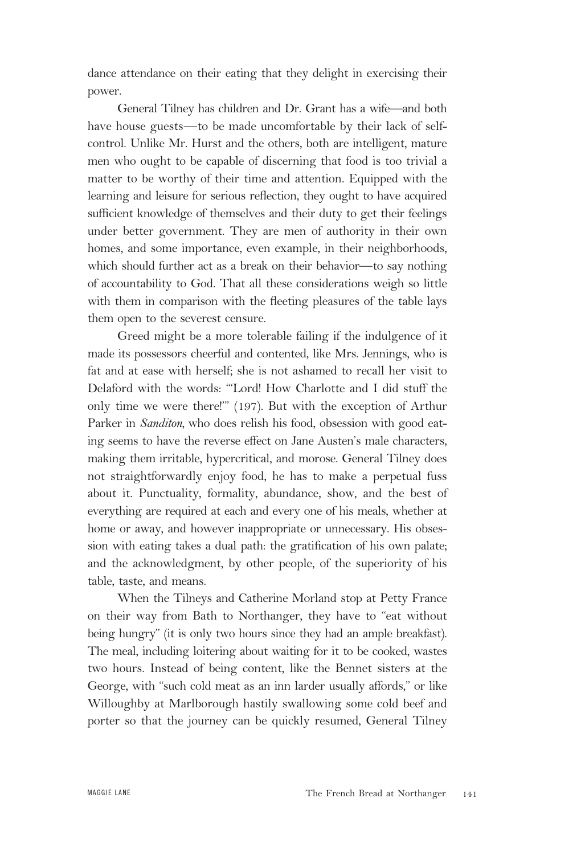dance attendance on their eating that they delight in exercising their power.

General Tilney has children and Dr. Grant has a wife—and both have house guests—to be made uncomfortable by their lack of selfcontrol. Unlike Mr. Hurst and the others, both are intelligent, mature men who ought to be capable of discerning that food is too trivial a matter to be worthy of their time and attention. Equipped with the learning and leisure for serious reflection, they ought to have acquired sufficient knowledge of themselves and their duty to get their feelings under better government. They are men of authority in their own homes, and some importance, even example, in their neighborhoods, which should further act as a break on their behavior—to say nothing of accountability to God. That all these considerations weigh so little with them in comparison with the fleeting pleasures of the table lays them open to the severest censure.

Greed might be a more tolerable failing if the indulgence of it made its possessors cheerful and contented, like Mrs. Jennings, who is fat and at ease with herself; she is not ashamed to recall her visit to Delaford with the words: "'Lord! How Charlotte and I did stuff the only time we were there!'" (197). But with the exception of Arthur Parker in *Sanditon,* who does relish his food, obsession with good eating seems to have the reverse effect on Jane Austen's male characters, making them irritable, hypercritical, and morose. General Tilney does not straightforwardly enjoy food, he has to make a perpetual fuss about it. Punctuality, formality, abundance, show, and the best of everything are required at each and every one of his meals, whether at home or away, and however inappropriate or unnecessary. His obsession with eating takes a dual path: the gratification of his own palate; and the acknowledgment, by other people, of the superiority of his table, taste, and means.

When the Tilneys and Catherine Morland stop at Petty France on their way from Bath to Northanger, they have to "eat without being hungry" (it is only two hours since they had an ample breakfast). The meal, including loitering about waiting for it to be cooked, wastes two hours. Instead of being content, like the Bennet sisters at the George, with "such cold meat as an inn larder usually affords," or like Willoughby at Marlborough hastily swallowing some cold beef and porter so that the journey can be quickly resumed, General Tilney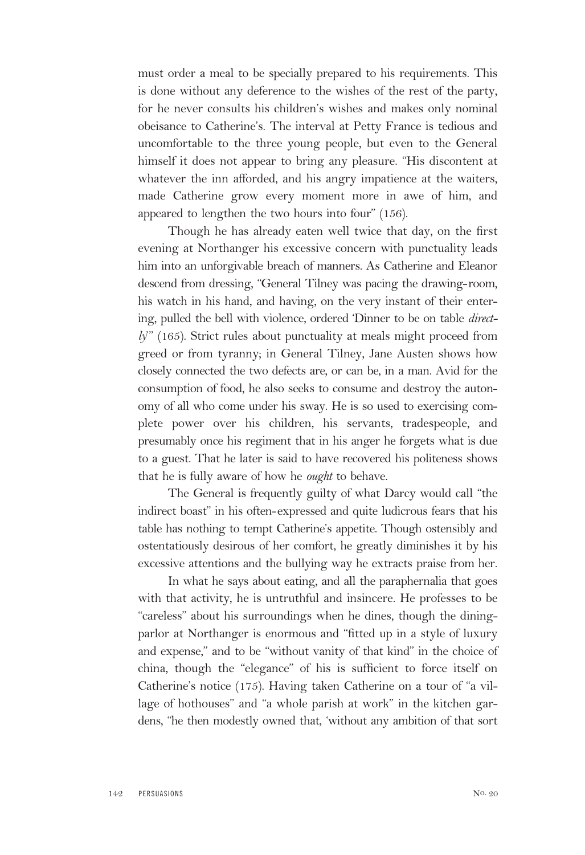must order a meal to be specially prepared to his requirements. This is done without any deference to the wishes of the rest of the party, for he never consults his children's wishes and makes only nominal obeisance to Catherine's. The interval at Petty France is tedious and uncomfortable to the three young people, but even to the General himself it does not appear to bring any pleasure. "His discontent at whatever the inn afforded, and his angry impatience at the waiters, made Catherine grow every moment more in awe of him, and appeared to lengthen the two hours into four" (156).

Though he has already eaten well twice that day, on the first evening at Northanger his excessive concern with punctuality leads him into an unforgivable breach of manners. As Catherine and Eleanor descend from dressing, "General Tilney was pacing the drawing-room, his watch in his hand, and having, on the very instant of their entering, pulled the bell with violence, ordered 'Dinner to be on table *directly*" (165). Strict rules about punctuality at meals might proceed from greed or from tyranny; in General Tilney, Jane Austen shows how closely connected the two defects are, or can be, in a man. Avid for the consumption of food, he also seeks to consume and destroy the autonomy of all who come under his sway. He is so used to exercising complete power over his children, his servants, tradespeople, and presumably once his regiment that in his anger he forgets what is due to a guest. That he later is said to have recovered his politeness shows that he is fully aware of how he *ought* to behave.

The General is frequently guilty of what Darcy would call "the indirect boast" in his often-expressed and quite ludicrous fears that his table has nothing to tempt Catherine's appetite. Though ostensibly and ostentatiously desirous of her comfort, he greatly diminishes it by his excessive attentions and the bullying way he extracts praise from her.

In what he says about eating, and all the paraphernalia that goes with that activity, he is untruthful and insincere. He professes to be "careless" about his surroundings when he dines, though the diningparlor at Northanger is enormous and "fitted up in a style of luxury and expense," and to be "without vanity of that kind" in the choice of china, though the "elegance" of his is sufficient to force itself on Catherine's notice (175). Having taken Catherine on a tour of "a village of hothouses" and "a whole parish at work" in the kitchen gardens, "he then modestly owned that, 'without any ambition of that sort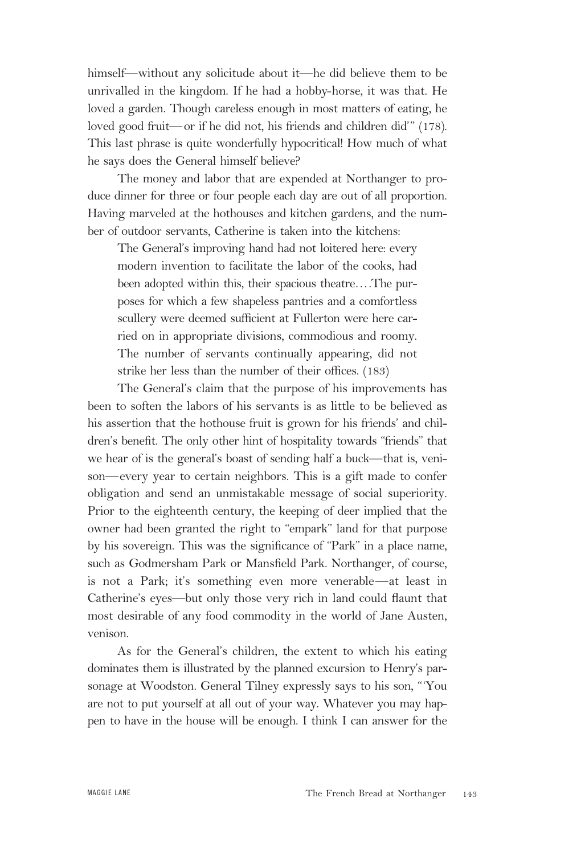himself—without any solicitude about it—he did believe them to be unrivalled in the kingdom. If he had a hobby-horse, it was that. He loved a garden. Though careless enough in most matters of eating, he loved good fruit—or if he did not, his friends and children did'" (178). This last phrase is quite wonderfully hypocritical! How much of what he says does the General himself believe?

The money and labor that are expended at Northanger to produce dinner for three or four people each day are out of all proportion. Having marveled at the hothouses and kitchen gardens, and the number of outdoor servants, Catherine is taken into the kitchens:

The General's improving hand had not loitered here: every modern invention to facilitate the labor of the cooks, had been adopted within this, their spacious theatre….The purposes for which a few shapeless pantries and a comfortless scullery were deemed sufficient at Fullerton were here carried on in appropriate divisions, commodious and roomy. The number of servants continually appearing, did not strike her less than the number of their offices. (183)

The General's claim that the purpose of his improvements has been to soften the labors of his servants is as little to be believed as his assertion that the hothouse fruit is grown for his friends' and children's benefit. The only other hint of hospitality towards "friends" that we hear of is the general's boast of sending half a buck—that is, venison—every year to certain neighbors. This is a gift made to confer obligation and send an unmistakable message of social superiority. Prior to the eighteenth century, the keeping of deer implied that the owner had been granted the right to "empark" land for that purpose by his sovereign. This was the significance of "Park" in a place name, such as Godmersham Park or Mansfield Park. Northanger, of course, is not a Park; it's something even more venerable—at least in Catherine's eyes—but only those very rich in land could flaunt that most desirable of any food commodity in the world of Jane Austen, venison.

As for the General's children, the extent to which his eating dominates them is illustrated by the planned excursion to Henry's parsonage at Woodston. General Tilney expressly says to his son, "'You are not to put yourself at all out of your way. Whatever you may happen to have in the house will be enough. I think I can answer for the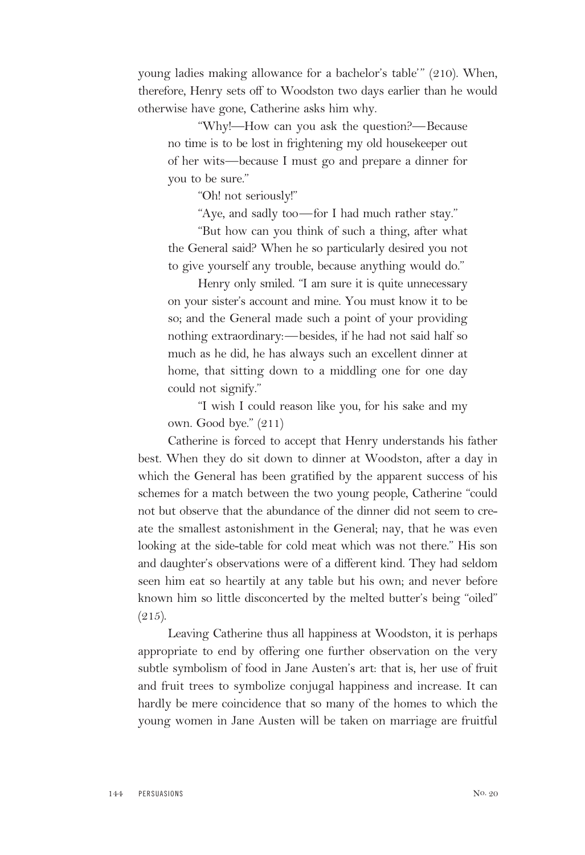young ladies making allowance for a bachelor's table'" (210). When, therefore, Henry sets off to Woodston two days earlier than he would otherwise have gone, Catherine asks him why.

"Why!—How can you ask the question?—Because no time is to be lost in frightening my old housekeeper out of her wits—because I must go and prepare a dinner for you to be sure."

"Oh! not seriously!"

"Aye, and sadly too—for I had much rather stay."

"But how can you think of such a thing, after what the General said? When he so particularly desired you not to give yourself any trouble, because anything would do."

Henry only smiled. "I am sure it is quite unnecessary on your sister's account and mine. You must know it to be so; and the General made such a point of your providing nothing extraordinary:—besides, if he had not said half so much as he did, he has always such an excellent dinner at home, that sitting down to a middling one for one day could not signify."

"I wish I could reason like you, for his sake and my own. Good bye." (211)

Catherine is forced to accept that Henry understands his father best. When they do sit down to dinner at Woodston, after a day in which the General has been gratified by the apparent success of his schemes for a match between the two young people, Catherine "could not but observe that the abundance of the dinner did not seem to create the smallest astonishment in the General; nay, that he was even looking at the side-table for cold meat which was not there." His son and daughter's observations were of a different kind. They had seldom seen him eat so heartily at any table but his own; and never before known him so little disconcerted by the melted butter's being "oiled"  $(215).$ 

Leaving Catherine thus all happiness at Woodston, it is perhaps appropriate to end by offering one further observation on the very subtle symbolism of food in Jane Austen's art: that is, her use of fruit and fruit trees to symbolize conjugal happiness and increase. It can hardly be mere coincidence that so many of the homes to which the young women in Jane Austen will be taken on marriage are fruitful